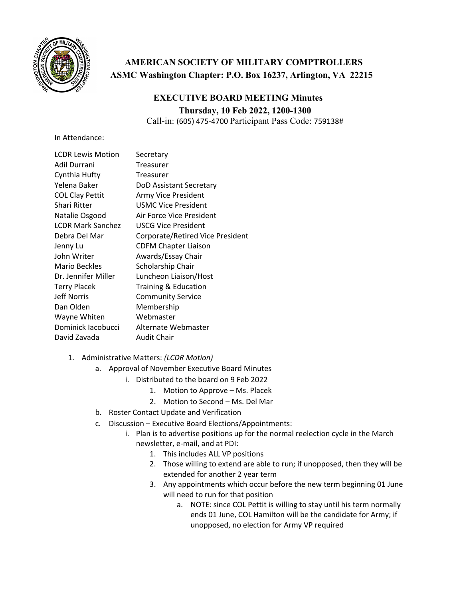

## **AMERICAN SOCIETY OF MILITARY COMPTROLLERS ASMC Washington Chapter: P.O. Box 16237, Arlington, VA 22215**

## **EXECUTIVE BOARD MEETING Minutes Thursday, 10 Feb 2022, 1200-1300**

Call-in: (605) 475‐4700 Participant Pass Code: 759138#

In Attendance:

| <b>LCDR Lewis Motion</b> | Secretary                        |
|--------------------------|----------------------------------|
| Adil Durrani             | Treasurer                        |
| Cynthia Hufty            | Treasurer                        |
| Yelena Baker             | DoD Assistant Secretary          |
| <b>COL Clay Pettit</b>   | Army Vice President              |
| Shari Ritter             | <b>USMC Vice President</b>       |
| Natalie Osgood           | Air Force Vice President         |
| <b>LCDR Mark Sanchez</b> | USCG Vice President              |
| Debra Del Mar            | Corporate/Retired Vice President |
| Jenny Lu                 | <b>CDFM Chapter Liaison</b>      |
| John Writer              | Awards/Essay Chair               |
| <b>Mario Beckles</b>     | Scholarship Chair                |
| Dr. Jennifer Miller      | Luncheon Liaison/Host            |
| <b>Terry Placek</b>      | <b>Training &amp; Education</b>  |
| <b>Jeff Norris</b>       | <b>Community Service</b>         |
| Dan Olden                | Membership                       |
| Wayne Whiten             | Webmaster                        |
| Dominick Jacobucci       | Alternate Webmaster              |
| David Zavada             | <b>Audit Chair</b>               |

- 1. Administrative Matters: *(LCDR Motion)*
	- a. Approval of November Executive Board Minutes
		- i. Distributed to the board on 9 Feb 2022
			- 1. Motion to Approve Ms. Placek
			- 2. Motion to Second Ms. Del Mar
	- b. Roster Contact Update and Verification
	- c. Discussion Executive Board Elections/Appointments:
		- i. Plan is to advertise positions up for the normal reelection cycle in the March newsletter, e‐mail, and at PDI:
			- 1. This includes ALL VP positions
			- 2. Those willing to extend are able to run; if unopposed, then they will be extended for another 2 year term
			- 3. Any appointments which occur before the new term beginning 01 June will need to run for that position
				- a. NOTE: since COL Pettit is willing to stay until his term normally ends 01 June, COL Hamilton will be the candidate for Army; if unopposed, no election for Army VP required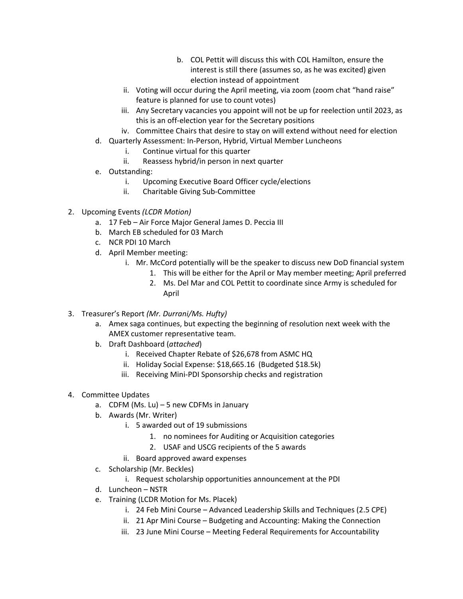- b. COL Pettit will discuss this with COL Hamilton, ensure the interest is still there (assumes so, as he was excited) given election instead of appointment
- ii. Voting will occur during the April meeting, via zoom (zoom chat "hand raise" feature is planned for use to count votes)
- iii. Any Secretary vacancies you appoint will not be up for reelection until 2023, as this is an off‐election year for the Secretary positions
- iv. Committee Chairs that desire to stay on will extend without need for election
- d. Quarterly Assessment: In‐Person, Hybrid, Virtual Member Luncheons
	- i. Continue virtual for this quarter
	- ii. Reassess hybrid/in person in next quarter
- e. Outstanding:
	- i. Upcoming Executive Board Officer cycle/elections
	- ii. Charitable Giving Sub‐Committee
- 2. Upcoming Events *(LCDR Motion)*
	- a. 17 Feb Air Force Major General James D. Peccia III
	- b. March EB scheduled for 03 March
	- c. NCR PDI 10 March
	- d. April Member meeting:
		- i. Mr. McCord potentially will be the speaker to discuss new DoD financial system
			- 1. This will be either for the April or May member meeting; April preferred
			- 2. Ms. Del Mar and COL Pettit to coordinate since Army is scheduled for April
- 3. Treasurer's Report *(Mr. Durrani/Ms. Hufty)*
	- a. Amex saga continues, but expecting the beginning of resolution next week with the AMEX customer representative team.
	- b. Draft Dashboard (*attached*)
		- i. Received Chapter Rebate of \$26,678 from ASMC HQ
		- ii. Holiday Social Expense: \$18,665.16 (Budgeted \$18.5k)
		- iii. Receiving Mini‐PDI Sponsorship checks and registration
- 4. Committee Updates
	- a. CDFM (Ms. Lu) 5 new CDFMs in January
	- b. Awards (Mr. Writer)
		- i. 5 awarded out of 19 submissions
			- 1. no nominees for Auditing or Acquisition categories
			- 2. USAF and USCG recipients of the 5 awards
		- ii. Board approved award expenses
	- c. Scholarship (Mr. Beckles)
		- i. Request scholarship opportunities announcement at the PDI
	- d. Luncheon NSTR
	- e. Training (LCDR Motion for Ms. Placek)
		- i. 24 Feb Mini Course Advanced Leadership Skills and Techniques (2.5 CPE)
		- ii. 21 Apr Mini Course Budgeting and Accounting: Making the Connection
		- iii. 23 June Mini Course Meeting Federal Requirements for Accountability